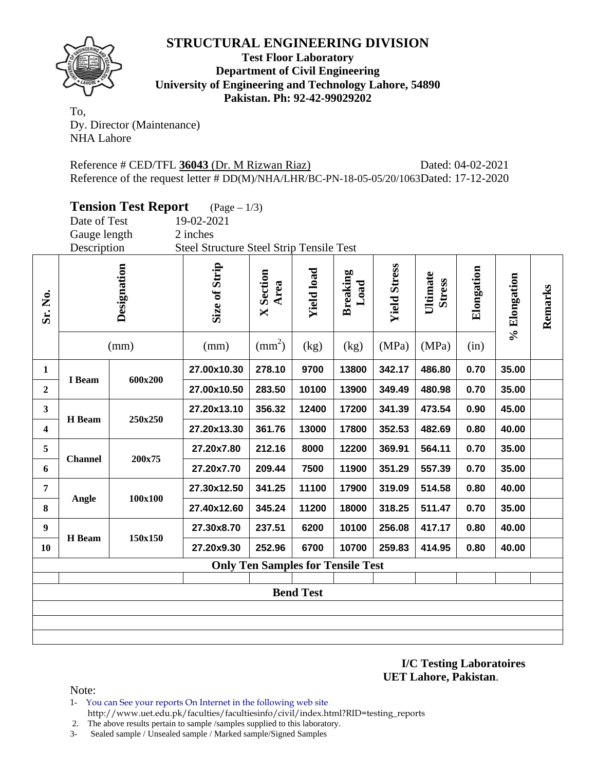

#### **Test Floor Laboratory Department of Civil Engineering University of Engineering and Technology Lahore, 54890 Pakistan. Ph: 92-42-99029202**

To, Dy. Director (Maintenance) NHA Lahore

Reference # CED/TFL **36043** (Dr. M Rizwan Riaz) Dated: 04-02-2021 Reference of the request letter # DD(M)/NHA/LHR/BC-PN-18-05-05/20/1063Dated: 17-12-2020

|  | <b>Tension Test Report</b> | $(Page - 1/3)$ |  |
|--|----------------------------|----------------|--|
|  |                            |                |  |

Date of Test 19-02-2021

Gauge length 2 inches Description Steel Structure Steel Strip Tensile Test

| Sr. No.                                  | Designation    |         | (mm)        |        |       |       | Size of Strip<br>(mm) | <b>X</b> Section<br>Area<br>$\text{(mm}^2)$ | <b>Yield load</b><br>(kg) | <b>Breaking</b><br>Load<br>(kg) | <b>Yield Stress</b><br>(MPa) | Ultimate<br><b>Stress</b><br>(MPa) | Elongation<br>(in) | % Elongation | Remarks |
|------------------------------------------|----------------|---------|-------------|--------|-------|-------|-----------------------|---------------------------------------------|---------------------------|---------------------------------|------------------------------|------------------------------------|--------------------|--------------|---------|
| 1                                        |                |         | 27.00x10.30 | 278.10 | 9700  | 13800 | 342.17                | 486.80                                      | 0.70                      | 35.00                           |                              |                                    |                    |              |         |
| $\boldsymbol{2}$                         | I Beam         | 600x200 | 27.00x10.50 | 283.50 | 10100 | 13900 | 349.49                | 480.98                                      | 0.70                      | 35.00                           |                              |                                    |                    |              |         |
| $\mathbf{3}$                             |                | 250x250 | 27.20x13.10 | 356.32 | 12400 | 17200 | 341.39                | 473.54                                      | 0.90                      | 45.00                           |                              |                                    |                    |              |         |
| 4                                        | H Beam         |         | 27.20x13.30 | 361.76 | 13000 | 17800 | 352.53                | 482.69                                      | 0.80                      | 40.00                           |                              |                                    |                    |              |         |
| 5                                        |                |         | 27.20x7.80  | 212.16 | 8000  | 12200 | 369.91                | 564.11                                      | 0.70                      | 35.00                           |                              |                                    |                    |              |         |
| 6                                        | <b>Channel</b> | 200x75  | 27.20x7.70  | 209.44 | 7500  | 11900 | 351.29                | 557.39                                      | 0.70                      | 35.00                           |                              |                                    |                    |              |         |
| $\overline{7}$                           | Angle          | 100x100 | 27.30x12.50 | 341.25 | 11100 | 17900 | 319.09                | 514.58                                      | 0.80                      | 40.00                           |                              |                                    |                    |              |         |
| 8                                        |                |         | 27.40x12.60 | 345.24 | 11200 | 18000 | 318.25                | 511.47                                      | 0.70                      | 35.00                           |                              |                                    |                    |              |         |
| 9                                        | H Beam         | 150x150 | 27.30x8.70  | 237.51 | 6200  | 10100 | 256.08                | 417.17                                      | 0.80                      | 40.00                           |                              |                                    |                    |              |         |
| 10                                       |                |         | 27.20x9.30  | 252.96 | 6700  | 10700 | 259.83                | 414.95                                      | 0.80                      | 40.00                           |                              |                                    |                    |              |         |
| <b>Only Ten Samples for Tensile Test</b> |                |         |             |        |       |       |                       |                                             |                           |                                 |                              |                                    |                    |              |         |
| <b>Bend Test</b>                         |                |         |             |        |       |       |                       |                                             |                           |                                 |                              |                                    |                    |              |         |
|                                          |                |         |             |        |       |       |                       |                                             |                           |                                 |                              |                                    |                    |              |         |

**I/C Testing Laboratoires UET Lahore, Pakistan**.

Note:

- 1- You can See your reports On Internet in the following web site http://www.uet.edu.pk/faculties/facultiesinfo/civil/index.html?RID=testing\_reports
- 2. The above results pertain to sample /samples supplied to this laboratory.
- 3- Sealed sample / Unsealed sample / Marked sample/Signed Samples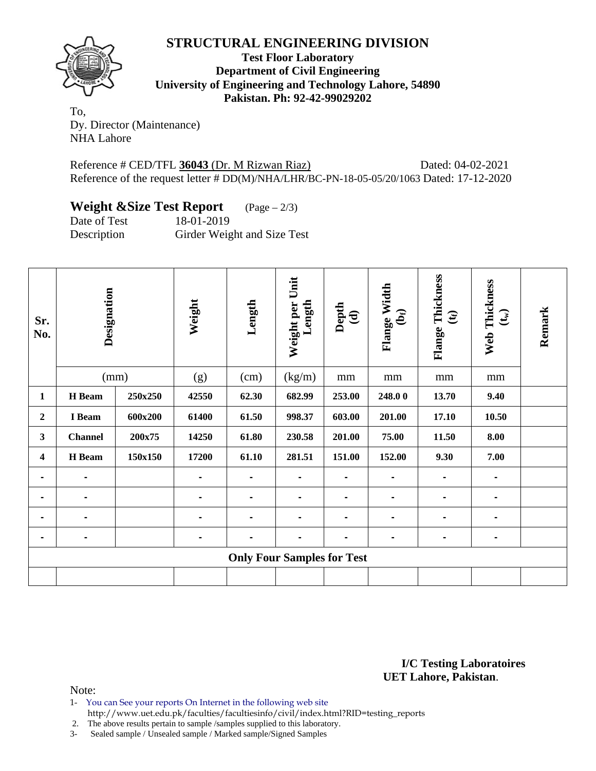

**Test Floor Laboratory Department of Civil Engineering University of Engineering and Technology Lahore, 54890 Pakistan. Ph: 92-42-99029202** 

To, Dy. Director (Maintenance) NHA Lahore

Reference # CED/TFL **36043** (Dr. M Rizwan Riaz) Dated: 04-02-2021 Reference of the request letter # DD(M)/NHA/LHR/BC-PN-18-05-05/20/1063 Dated: 17-12-2020

# **Weight &Size Test Report** (Page – 2/3)

Date of Test 18-01-2019 Description Girder Weight and Size Test

| Sr.<br>No.     | Designation<br>(mm) |         | Weight | Length | Weight per Unit<br>Length         | Depth<br>$\widehat{\mathbf{c}}$ | Flange Width<br>$\mathbf{\hat{e}}$ | Thickness<br>$\mathfrak{E}$<br>Flange | Web Thickness<br>$(\mathbf{t}_\mathrm{w})$ | Remark |
|----------------|---------------------|---------|--------|--------|-----------------------------------|---------------------------------|------------------------------------|---------------------------------------|--------------------------------------------|--------|
|                |                     |         |        |        | (g)                               | (cm)                            | (kg/m)                             | mm                                    | mm                                         | mm     |
| 1              | H Beam              | 250x250 | 42550  | 62.30  | 682.99                            | 253.00                          | 248.00                             | 13.70                                 | 9.40                                       |        |
| 2              | I Beam              | 600x200 | 61400  | 61.50  | 998.37                            | 603.00                          | 201.00                             | 17.10                                 | 10.50                                      |        |
| 3              | <b>Channel</b>      | 200x75  | 14250  | 61.80  | 230.58                            | 201.00                          | 75.00                              | 11.50                                 | 8.00                                       |        |
| 4              | H Beam              | 150x150 | 17200  | 61.10  | 281.51                            | 151.00                          | 152.00                             | 9.30                                  | 7.00                                       |        |
| $\blacksquare$ | $\blacksquare$      |         | -      | -      | $\blacksquare$                    |                                 | $\blacksquare$                     |                                       |                                            |        |
| $\blacksquare$ |                     |         |        | -      |                                   |                                 |                                    |                                       |                                            |        |
|                |                     |         |        |        |                                   |                                 |                                    |                                       |                                            |        |
|                |                     |         |        |        |                                   |                                 | $\blacksquare$                     | $\blacksquare$                        |                                            |        |
|                |                     |         |        |        | <b>Only Four Samples for Test</b> |                                 |                                    |                                       |                                            |        |
|                |                     |         |        |        |                                   |                                 |                                    |                                       |                                            |        |

**I/C Testing Laboratoires UET Lahore, Pakistan**.

Note:

- 1- You can See your reports On Internet in the following web site
- http://www.uet.edu.pk/faculties/facultiesinfo/civil/index.html?RID=testing\_reports
- 2. The above results pertain to sample /samples supplied to this laboratory.
- 3- Sealed sample / Unsealed sample / Marked sample/Signed Samples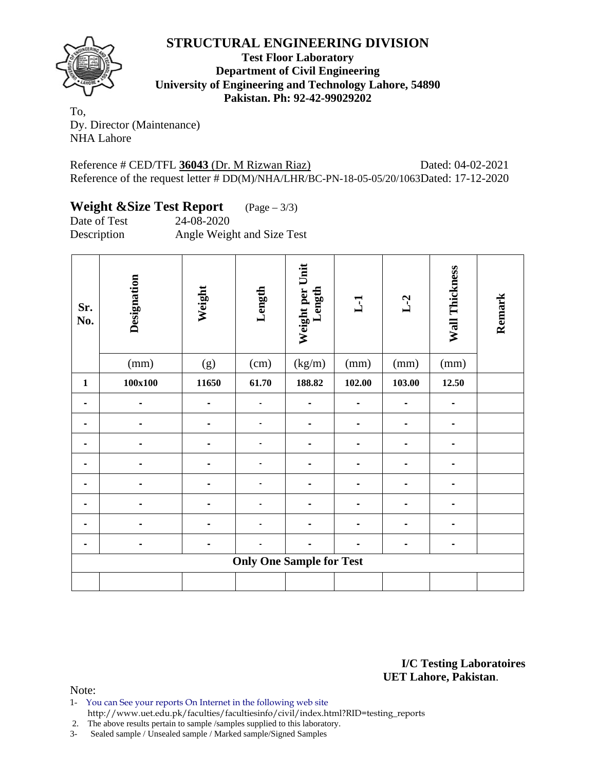

**Test Floor Laboratory Department of Civil Engineering University of Engineering and Technology Lahore, 54890 Pakistan. Ph: 92-42-99029202** 

To, Dy. Director (Maintenance) NHA Lahore

Reference # CED/TFL **36043** (Dr. M Rizwan Riaz) Dated: 04-02-2021 Reference of the request letter # DD(M)/NHA/LHR/BC-PN-18-05-05/20/1063Dated: 17-12-2020

## **Weight &Size Test Report** (Page – 3/3)

Date of Test 24-08-2020 Description Angle Weight and Size Test

| Sr.<br>No.  | Designation    | Weight | Length                          | Weight per Unit<br>Length | L1     | $L-2$  | Wall Thickness | Remark |
|-------------|----------------|--------|---------------------------------|---------------------------|--------|--------|----------------|--------|
|             | (mm)           | (g)    | (cm)                            | (kg/m)                    | (mm)   | (mm)   | (mm)           |        |
| $\mathbf 1$ | $100x100$      | 11650  | 61.70                           | 188.82                    | 102.00 | 103.00 | 12.50          |        |
|             |                |        |                                 |                           |        |        |                |        |
|             | $\blacksquare$ |        | $\blacksquare$                  |                           |        |        |                |        |
|             | -              |        | $\blacksquare$                  |                           |        |        |                |        |
|             |                |        |                                 |                           |        |        |                |        |
|             |                |        |                                 |                           |        |        |                |        |
|             |                |        |                                 |                           |        |        |                |        |
|             |                |        |                                 |                           |        |        |                |        |
|             | -              |        | $\blacksquare$                  |                           |        |        |                |        |
|             |                |        | <b>Only One Sample for Test</b> |                           |        |        |                |        |
|             |                |        |                                 |                           |        |        |                |        |

**I/C Testing Laboratoires UET Lahore, Pakistan**.

Note:

- 1- You can See your reports On Internet in the following web site http://www.uet.edu.pk/faculties/facultiesinfo/civil/index.html?RID=testing\_reports
- 2. The above results pertain to sample /samples supplied to this laboratory.

3- Sealed sample / Unsealed sample / Marked sample/Signed Samples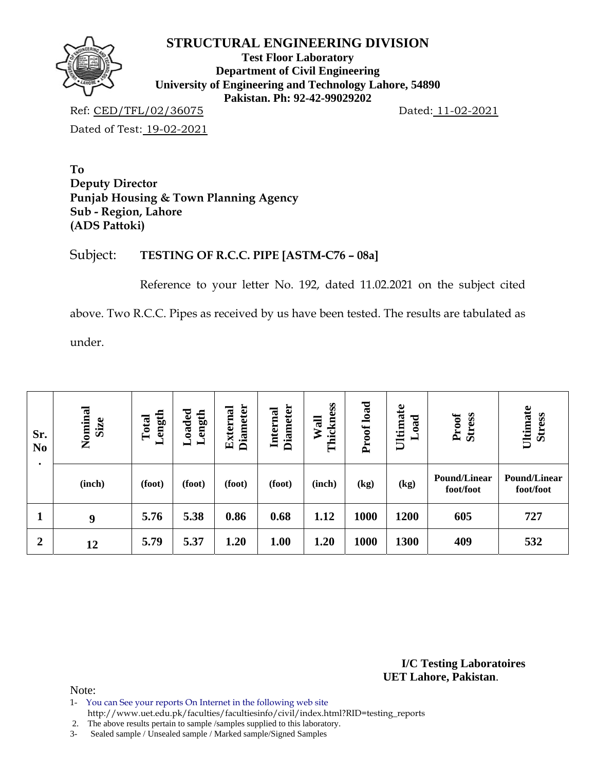

**Test Floor Laboratory Department of Civil Engineering University of Engineering and Technology Lahore, 54890 Pakistan. Ph: 92-42-99029202** 

Ref: CED/TFL/02/36075 Dated: 11-02-2021

Dated of Test: 19-02-2021

**To Deputy Director Punjab Housing & Town Planning Agency Sub - Region, Lahore (ADS Pattoki)** 

## Subject: **TESTING OF R.C.C. PIPE [ASTM-C76 – 08a]**

Reference to your letter No. 192, dated 11.02.2021 on the subject cited

above. Two R.C.C. Pipes as received by us have been tested. The results are tabulated as

under.

| Sr.<br>N <sub>0</sub> | Nominal<br>Size | Length<br>Total | $_{\rm Loaded}$<br>ength<br>- | <b>Diameter</b><br><b>External</b> | <b>Diameter</b><br>Internal | Thickness<br>Wall | Proof load | Ultimate<br><b>bad</b><br>▬ | Proof<br>Stress                  | Ultimate<br><b>Stress</b> |
|-----------------------|-----------------|-----------------|-------------------------------|------------------------------------|-----------------------------|-------------------|------------|-----------------------------|----------------------------------|---------------------------|
| $\bullet$             | (inch)          | (foot)          | (foot)                        | (foot)                             | (foot)                      | (inch)            | (kg)       | (kg)                        | <b>Pound/Linear</b><br>foot/foot | Pound/Linear<br>foot/foot |
|                       | 9               | 5.76            | 5.38                          | 0.86                               | 0.68                        | 1.12              | 1000       | 1200                        | 605                              | 727                       |
| $\overline{2}$        | 12              | 5.79            | 5.37                          | 1.20                               | 1.00                        | 1.20              | 1000       | 1300                        | 409                              | 532                       |

**I/C Testing Laboratoires UET Lahore, Pakistan**.

Note:

1- You can See your reports On Internet in the following web site

http://www.uet.edu.pk/faculties/facultiesinfo/civil/index.html?RID=testing\_reports

2. The above results pertain to sample /samples supplied to this laboratory.

3- Sealed sample / Unsealed sample / Marked sample/Signed Samples